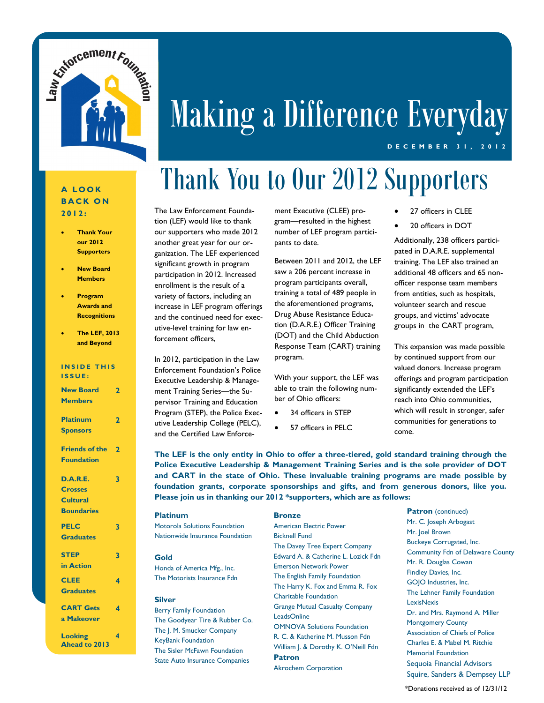

# Making a Difference Everyday

#### **D E C E M B E R 3 1 , 2 0 1 2**

#### **A L O O K B A C K O N 2012:**

- **Thank Your our 2012 Supporters**
- **New Board Members**
- **Program Awards and Recognitions**
- **The LEF, 2013 and Beyond**

#### **INSIDE THIS**

**I S S U E :**

| <b>New Board</b><br>$\overline{2}$ |                |  |  |  |
|------------------------------------|----------------|--|--|--|
| <b>Members</b>                     |                |  |  |  |
| <b>Platinum</b>                    | 2              |  |  |  |
|                                    |                |  |  |  |
| <b>Sponsors</b>                    |                |  |  |  |
| <b>Friends of the</b>              | $\overline{2}$ |  |  |  |
| <b>Foundation</b>                  |                |  |  |  |
| D.A.R.E.                           | 3              |  |  |  |
|                                    |                |  |  |  |
| <b>Crosses</b>                     |                |  |  |  |
| <b>Cultural</b>                    |                |  |  |  |
| <b>Boundaries</b>                  |                |  |  |  |
| <b>PELC</b>                        | 3              |  |  |  |
| <b>Graduates</b>                   |                |  |  |  |
| <b>STEP</b>                        | 3              |  |  |  |
| in Action                          |                |  |  |  |
| <b>CLEE</b>                        | 4              |  |  |  |
| <b>Graduates</b>                   |                |  |  |  |
| <b>CART Gets</b>                   | 4              |  |  |  |
| a Makeover                         |                |  |  |  |
| <b>Looking</b>                     | 4              |  |  |  |
| <b>Ahead to 2013</b>               |                |  |  |  |

#### The Law Enforcement Foundation (LEF) would like to thank ment Executive (CLEE) program—resulted in the highest number of LEF program participants to date. Between 2011 and 2012, the LEF Thank You to Our 2012 Supporters

saw a 206 percent increase in program participants overall, training a total of 489 people in the aforementioned programs, Drug Abuse Resistance Education (D.A.R.E.) Officer Training (DOT) and the Child Abduction Response Team (CART) training program.

> With your support, the LEF was able to train the following number of Ohio officers:

- 34 officers in STEP
- 57 officers in PFLC.
- 27 officers in CLEE
- 20 officers in DOT

Additionally, 238 officers participated in D.A.R.E. supplemental training. The LEF also trained an additional 48 officers and 65 nonofficer response team members from entities, such as hospitals, volunteer search and rescue groups, and victims' advocate groups in the CART program,

This expansion was made possible by continued support from our valued donors. Increase program offerings and program participation significantly extended the LEF's reach into Ohio communities, which will result in stronger, safer communities for generations to come.

**The LEF is the only entity in Ohio to offer a three-tiered, gold standard training through the Police Executive Leadership & Management Training Series and is the sole provider of DOT and CART in the state of Ohio. These invaluable training programs are made possible by foundation grants, corporate sponsorships and gifts, and from generous donors, like you. Please join us in thanking our 2012 \*supporters, which are as follows:**

| <b>Platinum</b><br>Motorola Solutions Foundation                                                                                                                                                                     | <b>Bronze</b><br><b>American Electric Power</b>                                                                                                                                                                                                                                                                                                                                                                                                           | <b>Patron</b> (continued)<br>Mr. C. Joseph Arbogast<br>Mr. Joel Brown                                                                                                                                                                                                                   |
|----------------------------------------------------------------------------------------------------------------------------------------------------------------------------------------------------------------------|-----------------------------------------------------------------------------------------------------------------------------------------------------------------------------------------------------------------------------------------------------------------------------------------------------------------------------------------------------------------------------------------------------------------------------------------------------------|-----------------------------------------------------------------------------------------------------------------------------------------------------------------------------------------------------------------------------------------------------------------------------------------|
| Nationwide Insurance Foundation<br>Gold<br>Honda of America Mfg., Inc.<br>The Motorists Insurance Fdn                                                                                                                | <b>Bicknell Fund</b><br>The Davey Tree Expert Company<br>Edward A. & Catherine L. Lozick Fdn<br><b>Emerson Network Power</b><br>The English Family Foundation<br>The Harry K. Fox and Emma R. Fox<br>Charitable Foundation<br><b>Grange Mutual Casualty Company</b><br><b>LeadsOnline</b><br><b>OMNOVA Solutions Foundation</b><br>R. C. & Katherine M. Musson Fdn<br>William J. & Dorothy K. O'Neill Fdn<br><b>Patron</b><br><b>Akrochem Corporation</b> | Buckeye Corrugated, Inc.<br><b>Community Fdn of Delaware County</b><br>Mr. R. Douglas Cowan<br>Findley Davies, Inc.<br>GOJO Industries, Inc.                                                                                                                                            |
| <b>Silver</b><br><b>Berry Family Foundation</b><br>The Goodyear Tire & Rubber Co.<br>The J. M. Smucker Company<br><b>KeyBank Foundation</b><br>The Sisler McFawn Foundation<br><b>State Auto Insurance Companies</b> |                                                                                                                                                                                                                                                                                                                                                                                                                                                           | The Lehner Family Foundation<br><b>LexisNexis</b><br>Dr. and Mrs. Raymond A. Miller<br><b>Montgomery County</b><br><b>Association of Chiefs of Police</b><br>Charles E. & Mabel M. Ritchie<br><b>Memorial Foundation</b><br>Sequoia Financial Advisors<br>Squire, Sanders & Dempsey LLP |

\*Donations received as of 12/31/12

our supporters who made 2012 another great year for our organization. The LEF experienced significant growth in program participation in 2012. Increased enrollment is the result of a variety of factors, including an increase in LEF program offerings and the continued need for executive-level training for law en-

forcement officers,

In 2012, participation in the Law Enforcement Foundation's Police Executive Leadership & Management Training Series—the Supervisor Training and Education Program (STEP), the Police Executive Leadership College (PELC), and the Certified Law Enforce-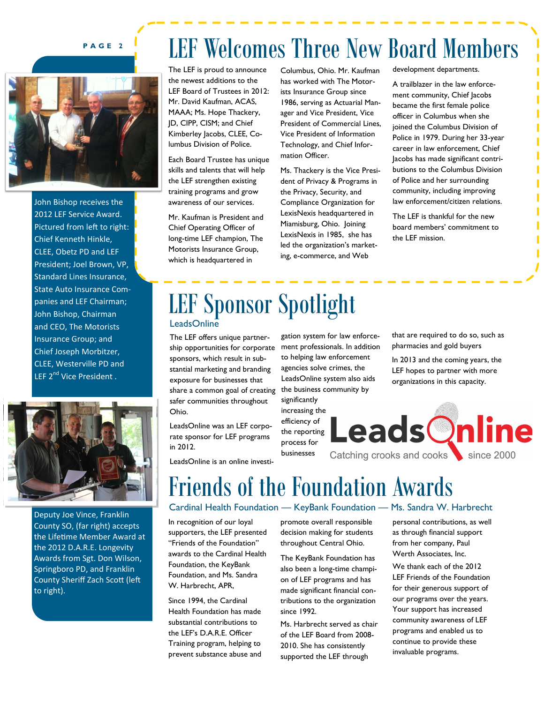#### **P A G E 2**



John Bishop receives the 2012 LEF Service Award. Pictured from left to right: Chief Kenneth Hinkle, CLEE, Obetz PD and LEF President; Joel Brown, VP, Standard Lines Insurance, State Auto Insurance Companies and LEF Chairman; John Bishop, Chairman and CEO, The Motorists Insurance Group; and Chief Joseph Morbitzer, CLEE, Westerville PD and LEF 2<sup>nd</sup> Vice President.



Deputy Joe Vince, Franklin County SO, (far right) accepts the Lifetime Member Award at the 2012 D.A.R.E. Longevity Awards from Sgt. Don Wilson, Springboro PD, and Franklin County Sheriff Zach Scott (left to right).

### LEF Welcomes Three New Board Members

The LEF is proud to announce the newest additions to the LEF Board of Trustees in 2012: Mr. David Kaufman, ACAS, MAAA; Ms. Hope Thackery, JD, CIPP, CISM; and Chief Kimberley Jacobs, CLEE, Columbus Division of Police.

Each Board Trustee has unique skills and talents that will help the LEF strengthen existing training programs and grow awareness of our services.

Mr. Kaufman is President and Chief Operating Officer of long-time LEF champion, The Motorists Insurance Group, which is headquartered in

Columbus, Ohio. Mr. Kaufman has worked with The Motorists Insurance Group since 1986, serving as Actuarial Manager and Vice President, Vice President of Commercial Lines, Vice President of Information Technology, and Chief Information Officer.

Ms. Thackery is the Vice President of Privacy & Programs in the Privacy, Security, and Compliance Organization for LexisNexis headquartered in Miamisburg, Ohio. Joining LexisNexis in 1985, she has led the organization's marketing, e-commerce, and Web

development departments.

A trailblazer in the law enforcement community, Chief Jacobs became the first female police officer in Columbus when she joined the Columbus Division of Police in 1979. During her 33-year career in law enforcement, Chief Jacobs has made significant contributions to the Columbus Division of Police and her surrounding community, including improving law enforcement/citizen relations.

Γ

The LEF is thankful for the new board members' commitment to the LEF mission.

### LEF Sponsor Spotlight **LeadsOnline**

The LEF offers unique partnership opportunities for corporate sponsors, which result in substantial marketing and branding exposure for businesses that share a common goal of creating safer communities throughout Ohio.

LeadsOnline was an LEF corporate sponsor for LEF programs in 2012.

LeadsOnline is an online investi-

gation system for law enforcement professionals. In addition to helping law enforcement agencies solve crimes, the LeadsOnline system also aids the business community by

significantly increasing the efficiency of **LeadsOnline** the reporting process for

businesses

that are required to do so, such as pharmacies and gold buyers

In 2013 and the coming years, the LEF hopes to partner with more organizations in this capacity.

Catching crooks and cooks<br>
since 2000

## Friends of the Foundation Awards

In recognition of our loyal supporters, the LEF presented "Friends of the Foundation" awards to the Cardinal Health Foundation, the KeyBank Foundation, and Ms. Sandra W. Harbrecht, APR,

Since 1994, the Cardinal Health Foundation has made substantial contributions to the LEF's D.A.R.E. Officer Training program, helping to prevent substance abuse and promote overall responsible decision making for students throughout Central Ohio.

The KeyBank Foundation has also been a long-time champion of LEF programs and has made significant financial contributions to the organization since 1992.

Ms. Harbrecht served as chair of the LEF Board from 2008- 2010. She has consistently supported the LEF through

#### Cardinal Health Foundation — KeyBank Foundation — Ms. Sandra W. Harbrecht

personal contributions, as well as through financial support from her company, Paul Werth Associates, Inc.

We thank each of the 2012 LEF Friends of the Foundation for their generous support of our programs over the years. Your support has increased community awareness of LEF programs and enabled us to continue to provide these invaluable programs.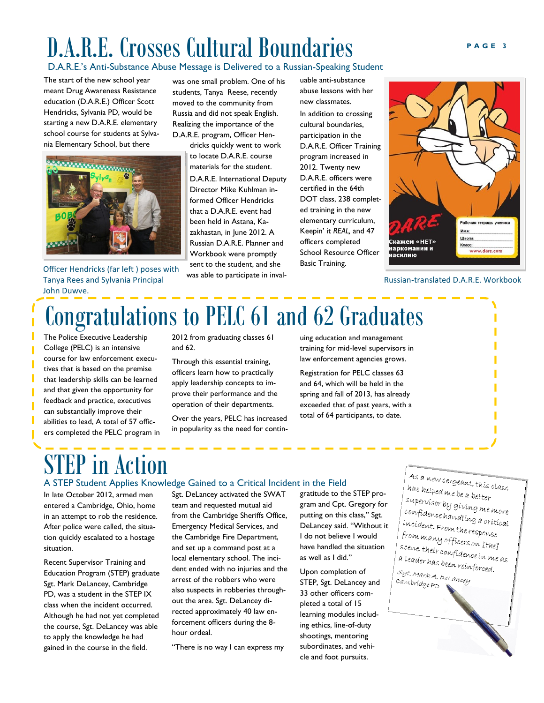### D.A.R.E. Crosses Cultural Boundaries **PAGE 3**

#### D.A.R.E.'s Anti-Substance Abuse Message is Delivered to a Russian-Speaking Student

The start of the new school year meant Drug Awareness Resistance education (D.A.R.E.) Officer Scott Hendricks, Sylvania PD, would be starting a new D.A.R.E. elementary school course for students at Sylvania Elementary School, but there



Officer Hendricks (far left ) poses with Tanya Rees and Sylvania Principal John Duwve.

was one small problem. One of his students, Tanya Reese, recently moved to the community from Russia and did not speak English. Realizing the importance of the D.A.R.E. program, Officer Hen-

> dricks quickly went to work to locate D.A.R.E. course materials for the student. D.A.R.E. International Deputy Director Mike Kuhlman informed Officer Hendricks that a D.A.R.E. event had been held in Astana, Kazakhastan, in June 2012. A Russian D.A.R.E. Planner and Workbook were promptly sent to the student, and she was able to participate in inval-

uable anti-substance abuse lessons with her new classmates. In addition to crossing cultural boundaries, participation in the D.A.R.E. Officer Training program increased in 2012. Twenty new D.A.R.E. officers were certified in the 64th DOT class, 238 completed training in the new elementary curriculum, Keepin' it *REAL,* and 47 officers completed School Resource Officer Basic Training.



#### Russian-translated D.A.R.E. Workbook

## Congratulations to PELC 61 and 62 Graduates

The Police Executive Leadership College (PELC) is an intensive course for law enforcement executives that is based on the premise that leadership skills can be learned and that given the opportunity for feedback and practice, executives can substantially improve their abilities to lead, A total of 57 officers completed the PELC program in 2012 from graduating classes 61 and 62.

Through this essential training, officers learn how to practically apply leadership concepts to improve their performance and the operation of their departments.

Over the years, PELC has increased in popularity as the need for continuing education and management training for mid-level supervisors in law enforcement agencies grows.

Registration for PELC classes 63 and 64, which will be held in the spring and fall of 2013, has already exceeded that of past years, with a total of 64 participants, to date.

## in Action

#### A STEP Student Applies Knowledge Gained to a Critical Incident in the Field

In late October 2012, armed men entered a Cambridge, Ohio, home in an attempt to rob the residence. After police were called, the situation quickly escalated to a hostage situation.

Recent Supervisor Training and Education Program (STEP) graduate Sgt. Mark DeLancey, Cambridge PD, was a student in the STEP IX class when the incident occurred. Although he had not yet completed the course, Sgt. DeLancey was able to apply the knowledge he had gained in the course in the field.

Sgt. DeLancey activated the SWAT team and requested mutual aid from the Cambridge Sheriffs Office, Emergency Medical Services, and the Cambridge Fire Department, and set up a command post at a local elementary school. The incident ended with no injuries and the arrest of the robbers who were also suspects in robberies throughout the area. Sgt. DeLancey directed approximately 40 law enforcement officers during the 8 hour ordeal.

"There is no way I can express my

gratitude to the STEP program and Cpt. Gregory for putting on this class," Sgt. DeLancey said. "Without it I do not believe I would have handled the situation as well as I did."

Upon completion of STEP, Sgt. DeLancey and 33 other officers completed a total of 15 learning modules including ethics, line-of-duty shootings, mentoring subordinates, and vehicle and foot pursuits.

As a new sergeant, thís class<br>has helped me ha s has helped me be a better<br>supervisor bu supervisor by giving me more<br>confidence han du confidence handling me more<br>confidence handling a critical<br>incident. From the incident. From the response<br>from manu of c from many officers on Ithel<br>scene, their no. a. scene, their confidence in me as<br>scene, their confidence in me as<br>a leader has heen wi a leader has been reinforced.<br>Set seen reinforced. sgt.<br>Mark A. DeLancey cambridgePD